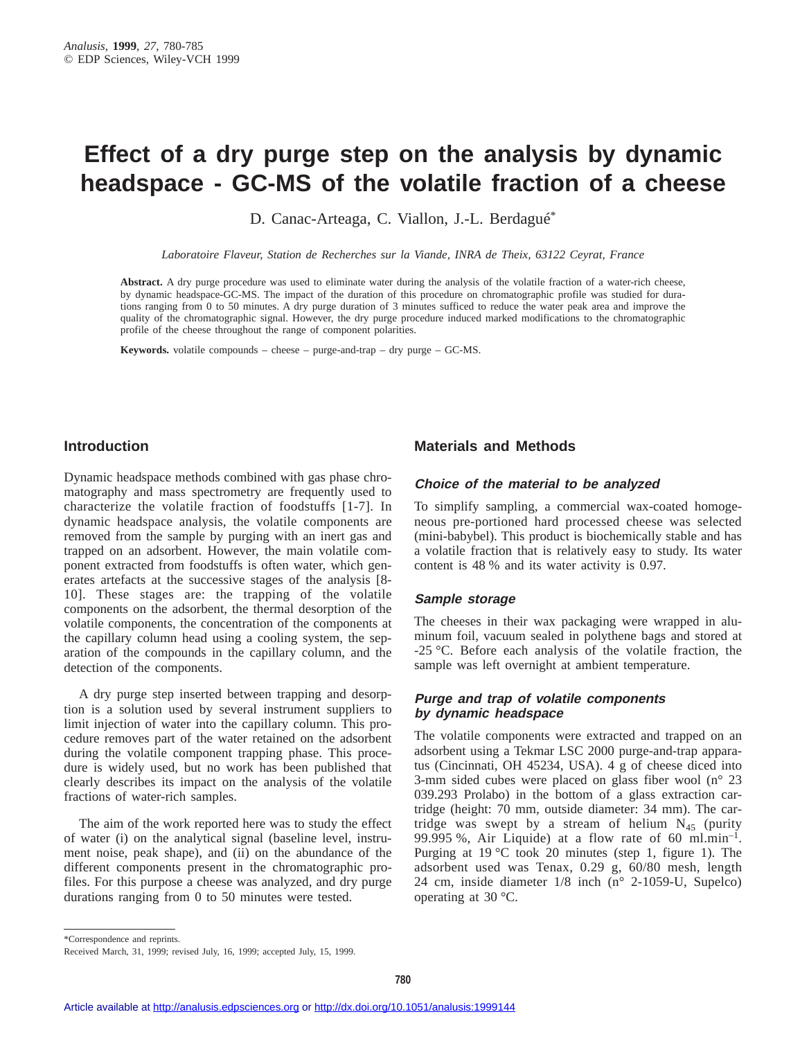## **Effect of a dry purge step on the analysis by dynamic headspace - GC-MS of the volatile fraction of a cheese**

D. Canac-Arteaga, C. Viallon, J.-L. Berdagué<sup>\*</sup>

*Laboratoire Flaveur, Station de Recherches sur la Viande, INRA de Theix, 63122 Ceyrat, France*

**Abstract.** A dry purge procedure was used to eliminate water during the analysis of the volatile fraction of a water-rich cheese, by dynamic headspace-GC-MS. The impact of the duration of this procedure on chromatographic profile was studied for durations ranging from 0 to 50 minutes. A dry purge duration of 3 minutes sufficed to reduce the water peak area and improve the quality of the chromatographic signal. However, the dry purge procedure induced marked modifications to the chromatographic profile of the cheese throughout the range of component polarities.

**Keywords.** volatile compounds – cheese – purge-and-trap – dry purge – GC-MS.

## **Introduction**

Dynamic headspace methods combined with gas phase chromatography and mass spectrometry are frequently used to characterize the volatile fraction of foodstuffs [1-7]. In dynamic headspace analysis, the volatile components are removed from the sample by purging with an inert gas and trapped on an adsorbent. However, the main volatile component extracted from foodstuffs is often water, which generates artefacts at the successive stages of the analysis [8- 10]. These stages are: the trapping of the volatile components on the adsorbent, the thermal desorption of the volatile components, the concentration of the components at the capillary column head using a cooling system, the separation of the compounds in the capillary column, and the detection of the components.

A dry purge step inserted between trapping and desorption is a solution used by several instrument suppliers to limit injection of water into the capillary column. This procedure removes part of the water retained on the adsorbent during the volatile component trapping phase. This procedure is widely used, but no work has been published that clearly describes its impact on the analysis of the volatile fractions of water-rich samples.

The aim of the work reported here was to study the effect of water (i) on the analytical signal (baseline level, instrument noise, peak shape), and (ii) on the abundance of the different components present in the chromatographic profiles. For this purpose a cheese was analyzed, and dry purge durations ranging from 0 to 50 minutes were tested.

#### **Materials and Methods**

#### **Choice of the material to be analyzed**

To simplify sampling, a commercial wax-coated homogeneous pre-portioned hard processed cheese was selected (mini-babybel). This product is biochemically stable and has a volatile fraction that is relatively easy to study. Its water content is 48 % and its water activity is 0.97.

#### **Sample storage**

The cheeses in their wax packaging were wrapped in aluminum foil, vacuum sealed in polythene bags and stored at -25 °C. Before each analysis of the volatile fraction, the sample was left overnight at ambient temperature.

#### **Purge and trap of volatile components by dynamic headspace**

The volatile components were extracted and trapped on an adsorbent using a Tekmar LSC 2000 purge-and-trap apparatus (Cincinnati, OH 45234, USA). 4 g of cheese diced into 3-mm sided cubes were placed on glass fiber wool (n° 23 039.293 Prolabo) in the bottom of a glass extraction cartridge (height: 70 mm, outside diameter: 34 mm). The cartridge was swept by a stream of helium  $N_{45}$  (purity 99.995 %, Air Liquide) at a flow rate of 60 ml.min<sup>-1</sup>. Purging at 19 °C took 20 minutes (step 1, figure 1). The adsorbent used was Tenax, 0.29 g, 60/80 mesh, length 24 cm, inside diameter 1/8 inch (n° 2-1059-U, Supelco) operating at 30 °C.

\*Correspondence and reprints.

Received March, 31, 1999; revised July, 16, 1999; accepted July, 15, 1999.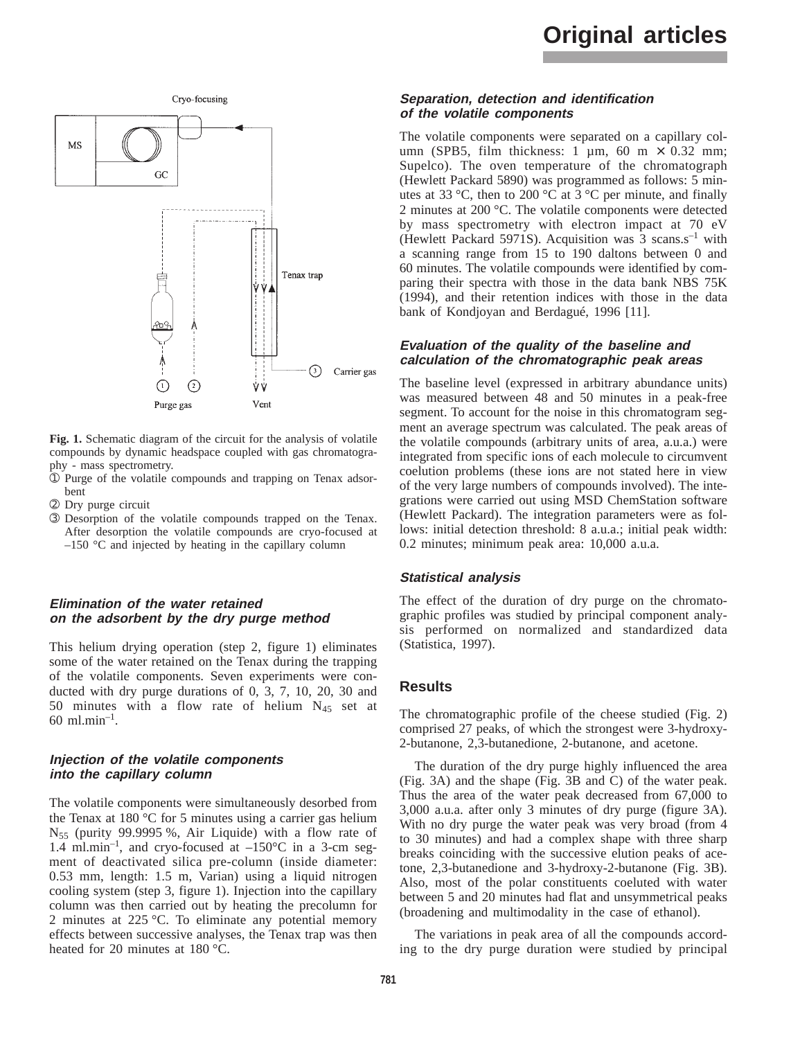## **Original articles**



**Fig. 1.** Schematic diagram of the circuit for the analysis of volatile compounds by dynamic headspace coupled with gas chromatography - mass spectrometry.

- ➀ Purge of the volatile compounds and trapping on Tenax adsorbent
- ➁ Dry purge circuit
- ➂ Desorption of the volatile compounds trapped on the Tenax. After desorption the volatile compounds are cryo-focused at  $-150$  °C and injected by heating in the capillary column

## **Elimination of the water retained on the adsorbent by the dry purge method**

This helium drying operation (step 2, figure 1) eliminates some of the water retained on the Tenax during the trapping of the volatile components. Seven experiments were conducted with dry purge durations of 0, 3, 7, 10, 20, 30 and 50 minutes with a flow rate of helium  $N_{45}$  set at 60 ml.min<sup>-1</sup>.

#### **Injection of the volatile components into the capillary column**

The volatile components were simultaneously desorbed from the Tenax at 180 °C for 5 minutes using a carrier gas helium  $N_{55}$  (purity 99.9995 %, Air Liquide) with a flow rate of 1.4 ml.min<sup>-1</sup>, and cryo-focused at  $-150^{\circ}$ C in a 3-cm segment of deactivated silica pre-column (inside diameter: 0.53 mm, length: 1.5 m, Varian) using a liquid nitrogen cooling system (step 3, figure 1). Injection into the capillary column was then carried out by heating the precolumn for 2 minutes at 225 °C. To eliminate any potential memory effects between successive analyses, the Tenax trap was then heated for 20 minutes at 180 °C.

#### **Separation, detection and identification of the volatile components**

The volatile components were separated on a capillary column (SPB5, film thickness: 1  $\mu$ m, 60 m × 0.32 mm; Supelco). The oven temperature of the chromatograph (Hewlett Packard 5890) was programmed as follows: 5 minutes at 33 °C, then to 200 °C at  $3$  °C per minute, and finally 2 minutes at 200 °C. The volatile components were detected by mass spectrometry with electron impact at 70 eV (Hewlett Packard 5971S). Acquisition was  $3 \text{ scans.s}^{-1}$  with a scanning range from 15 to 190 daltons between 0 and 60 minutes. The volatile compounds were identified by comparing their spectra with those in the data bank NBS 75K (1994), and their retention indices with those in the data bank of Kondjoyan and Berdagué, 1996 [11].

#### **Evaluation of the quality of the baseline and calculation of the chromatographic peak areas**

The baseline level (expressed in arbitrary abundance units) was measured between 48 and 50 minutes in a peak-free segment. To account for the noise in this chromatogram segment an average spectrum was calculated. The peak areas of the volatile compounds (arbitrary units of area, a.u.a.) were integrated from specific ions of each molecule to circumvent coelution problems (these ions are not stated here in view of the very large numbers of compounds involved). The integrations were carried out using MSD ChemStation software (Hewlett Packard). The integration parameters were as follows: initial detection threshold: 8 a.u.a.; initial peak width: 0.2 minutes; minimum peak area: 10,000 a.u.a.

#### **Statistical analysis**

The effect of the duration of dry purge on the chromatographic profiles was studied by principal component analysis performed on normalized and standardized data (Statistica, 1997).

## **Results**

The chromatographic profile of the cheese studied (Fig. 2) comprised 27 peaks, of which the strongest were 3-hydroxy-2-butanone, 2,3-butanedione, 2-butanone, and acetone.

The duration of the dry purge highly influenced the area (Fig. 3A) and the shape (Fig. 3B and C) of the water peak. Thus the area of the water peak decreased from 67,000 to 3,000 a.u.a. after only 3 minutes of dry purge (figure 3A). With no dry purge the water peak was very broad (from 4 to 30 minutes) and had a complex shape with three sharp breaks coinciding with the successive elution peaks of acetone, 2,3-butanedione and 3-hydroxy-2-butanone (Fig. 3B). Also, most of the polar constituents coeluted with water between 5 and 20 minutes had flat and unsymmetrical peaks (broadening and multimodality in the case of ethanol).

The variations in peak area of all the compounds according to the dry purge duration were studied by principal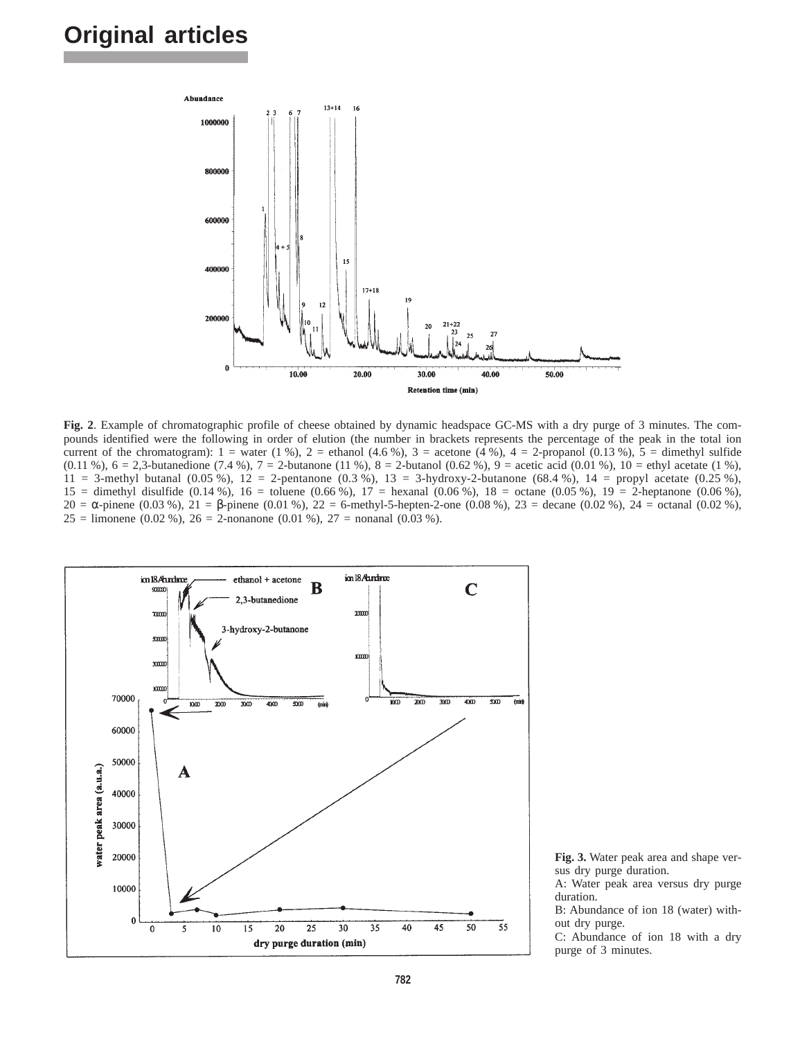## **Original articles**



**Fig. 2**. Example of chromatographic profile of cheese obtained by dynamic headspace GC-MS with a dry purge of 3 minutes. The compounds identified were the following in order of elution (the number in brackets represents the percentage of the peak in the total ion current of the chromatogram):  $1 =$  water (1 %),  $2 =$  ethanol (4.6 %),  $3 =$  acetone (4 %),  $4 =$  2-propanol (0.13 %),  $5 =$  dimethyl sulfide (0.11 %),  $6 = 2,3$ -butanedione (7.4 %),  $7 = 2$ -butanone (11 %),  $8 = 2$ -butanol (0.62 %),  $9 =$  acetic acid (0.01 %),  $10 =$ ethyl acetate (1 %), 11 = 3-methyl butanal (0.05 %), 12 = 2-pentanone (0.3 %), 13 = 3-hydroxy-2-butanone (68.4 %), 14 = propyl acetate (0.25 %),  $15 =$  dimethyl disulfide (0.14 %),  $16 =$  toluene (0.66 %),  $17 =$  hexanal (0.06 %),  $18 =$  octane (0.05 %),  $19 =$  2-heptanone (0.06 %),  $20 = \alpha$ -pinene (0.03 %),  $21 = \beta$ -pinene (0.01 %),  $22 = \beta$ -methyl-5-hepten-2-one (0.08 %),  $23 = \beta$  decane (0.02 %),  $24 = \beta$ -octanal (0.02 %), 25 = limonene (0.02 %), 26 = 2-nonanone (0.01 %), 27 = nonanal (0.03 %).



**Fig. 3.** Water peak area and shape versus dry purge duration.

A: Water peak area versus dry purge duration.

B: Abundance of ion 18 (water) without dry purge.

C: Abundance of ion 18 with a dry purge of 3 minutes.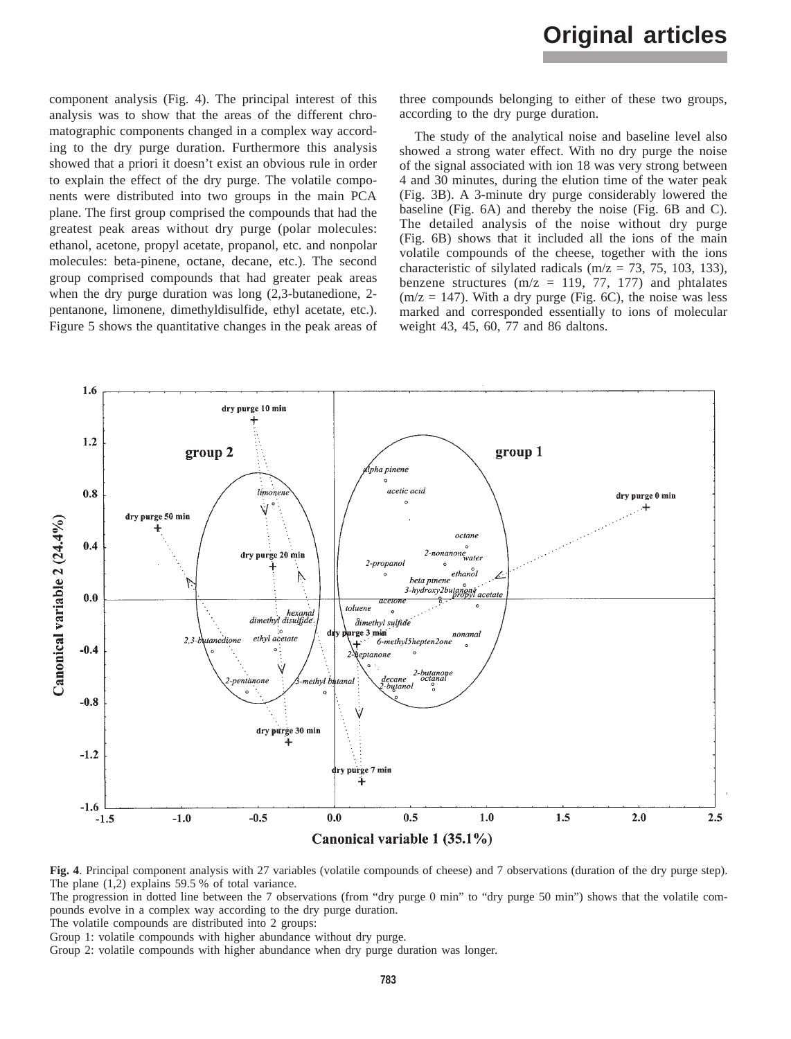component analysis (Fig. 4). The principal interest of this analysis was to show that the areas of the different chromatographic components changed in a complex way according to the dry purge duration. Furthermore this analysis showed that a priori it doesn't exist an obvious rule in order to explain the effect of the dry purge. The volatile components were distributed into two groups in the main PCA plane. The first group comprised the compounds that had the greatest peak areas without dry purge (polar molecules: ethanol, acetone, propyl acetate, propanol, etc. and nonpolar molecules: beta-pinene, octane, decane, etc.). The second group comprised compounds that had greater peak areas when the dry purge duration was long (2,3-butanedione, 2 pentanone, limonene, dimethyldisulfide, ethyl acetate, etc.). Figure 5 shows the quantitative changes in the peak areas of

three compounds belonging to either of these two groups, according to the dry purge duration.

The study of the analytical noise and baseline level also showed a strong water effect. With no dry purge the noise of the signal associated with ion 18 was very strong between 4 and 30 minutes, during the elution time of the water peak (Fig. 3B). A 3-minute dry purge considerably lowered the baseline (Fig. 6A) and thereby the noise (Fig. 6B and C). The detailed analysis of the noise without dry purge (Fig. 6B) shows that it included all the ions of the main volatile compounds of the cheese, together with the ions characteristic of silylated radicals (m/z = 73, 75, 103, 133), benzene structures ( $m/z = 119, 77, 177$ ) and phtalates  $(m/z = 147)$ . With a dry purge (Fig. 6C), the noise was less marked and corresponded essentially to ions of molecular weight 43, 45, 60, 77 and 86 daltons.



**Fig. 4**. Principal component analysis with 27 variables (volatile compounds of cheese) and 7 observations (duration of the dry purge step). The plane (1,2) explains 59.5 % of total variance.

The progression in dotted line between the 7 observations (from "dry purge 0 min" to "dry purge 50 min") shows that the volatile compounds evolve in a complex way according to the dry purge duration.

The volatile compounds are distributed into 2 groups:

Group 1: volatile compounds with higher abundance without dry purge.

Group 2: volatile compounds with higher abundance when dry purge duration was longer.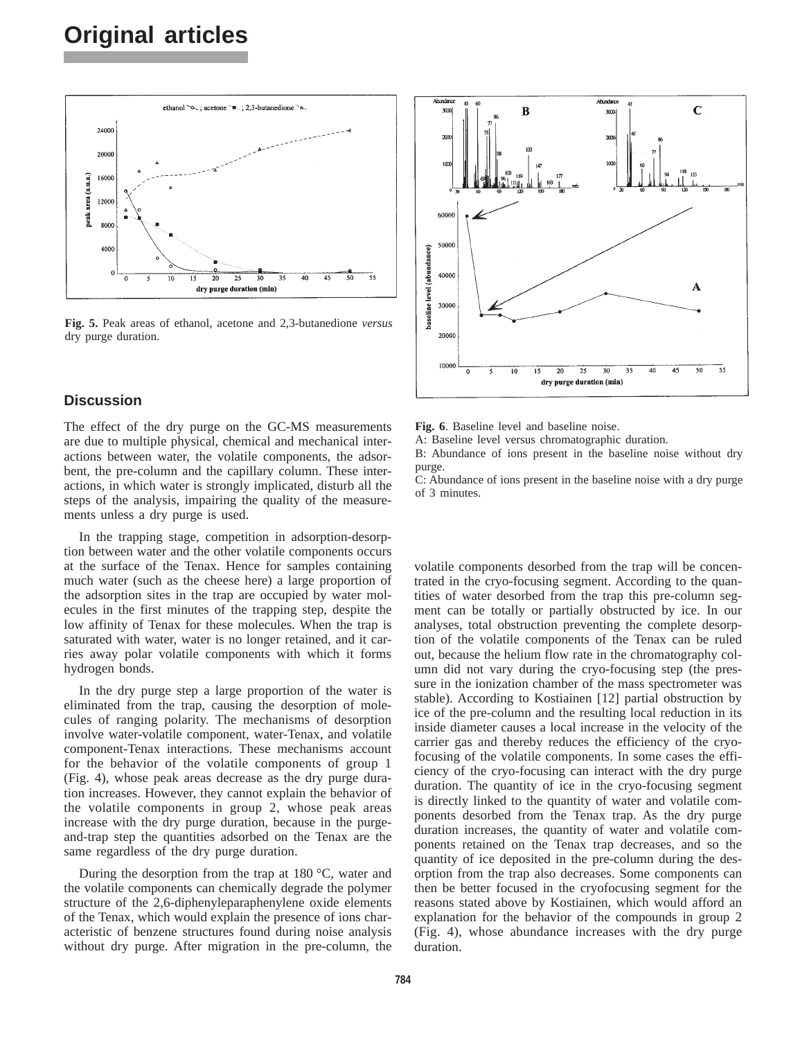# **Original articles**



**Fig. 5.** Peak areas of ethanol, acetone and 2,3-butanedione *versus* dry purge duration.

## **Discussion**

The effect of the dry purge on the GC-MS measurements are due to multiple physical, chemical and mechanical interactions between water, the volatile components, the adsorbent, the pre-column and the capillary column. These interactions, in which water is strongly implicated, disturb all the steps of the analysis, impairing the quality of the measurements unless a dry purge is used.

In the trapping stage, competition in adsorption-desorption between water and the other volatile components occurs at the surface of the Tenax. Hence for samples containing much water (such as the cheese here) a large proportion of the adsorption sites in the trap are occupied by water molecules in the first minutes of the trapping step, despite the low affinity of Tenax for these molecules. When the trap is saturated with water, water is no longer retained, and it carries away polar volatile components with which it forms hydrogen bonds.

In the dry purge step a large proportion of the water is eliminated from the trap, causing the desorption of molecules of ranging polarity. The mechanisms of desorption involve water-volatile component, water-Tenax, and volatile component-Tenax interactions. These mechanisms account for the behavior of the volatile components of group 1 (Fig. 4), whose peak areas decrease as the dry purge duration increases. However, they cannot explain the behavior of the volatile components in group 2, whose peak areas increase with the dry purge duration, because in the purgeand-trap step the quantities adsorbed on the Tenax are the same regardless of the dry purge duration.

During the desorption from the trap at 180 °C, water and the volatile components can chemically degrade the polymer structure of the 2,6-diphenyleparaphenylene oxide elements of the Tenax, which would explain the presence of ions characteristic of benzene structures found during noise analysis without dry purge. After migration in the pre-column, the



**Fig. 6**. Baseline level and baseline noise.

A: Baseline level versus chromatographic duration.

B: Abundance of ions present in the baseline noise without dry purge.

C: Abundance of ions present in the baseline noise with a dry purge of 3 minutes.

volatile components desorbed from the trap will be concentrated in the cryo-focusing segment. According to the quantities of water desorbed from the trap this pre-column segment can be totally or partially obstructed by ice. In our analyses, total obstruction preventing the complete desorption of the volatile components of the Tenax can be ruled out, because the helium flow rate in the chromatography column did not vary during the cryo-focusing step (the pressure in the ionization chamber of the mass spectrometer was stable). According to Kostiainen [12] partial obstruction by ice of the pre-column and the resulting local reduction in its inside diameter causes a local increase in the velocity of the carrier gas and thereby reduces the efficiency of the cryofocusing of the volatile components. In some cases the efficiency of the cryo-focusing can interact with the dry purge duration. The quantity of ice in the cryo-focusing segment is directly linked to the quantity of water and volatile components desorbed from the Tenax trap. As the dry purge duration increases, the quantity of water and volatile components retained on the Tenax trap decreases, and so the quantity of ice deposited in the pre-column during the desorption from the trap also decreases. Some components can then be better focused in the cryofocusing segment for the reasons stated above by Kostiainen, which would afford an explanation for the behavior of the compounds in group 2 (Fig. 4), whose abundance increases with the dry purge duration.